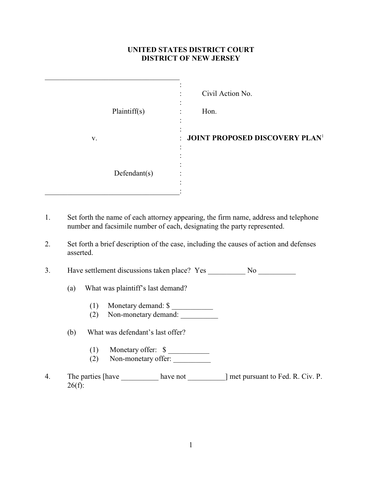## **UNITED STATES DISTRICT COURT DISTRICT OF NEW JERSEY**

| Plaintiff(s) | Civil Action No.<br>Hon.                                           |
|--------------|--------------------------------------------------------------------|
| V.           | $\bullet$<br><b>JOINT PROPOSED DISCOVERY PLAN<sup>1</sup></b><br>٠ |
| Defendant(s) |                                                                    |

- 1. Set forth the name of each attorney appearing, the firm name, address and telephone number and facsimile number of each, designating the party represented.
- 2. Set forth a brief description of the case, including the causes of action and defenses asserted.

3. Have settlement discussions taken place? Yes No

- (a) What was plaintiff's last demand?
- $(1)$  Monetary demand:  $\sim$ 
	- (2) Non-monetary demand: \_\_\_\_\_\_\_\_\_\_
- (b) What was defendant's last offer?
	- (1) Monetary offer:  $\frac{\sqrt{2}}{2}$
	- $(2)$  Non-monetary offer:
- 4. The parties [have \_\_\_\_\_\_\_\_\_\_\_ have not \_\_\_\_\_\_\_\_\_\_] met pursuant to Fed. R. Civ. P.  $26(f)$ :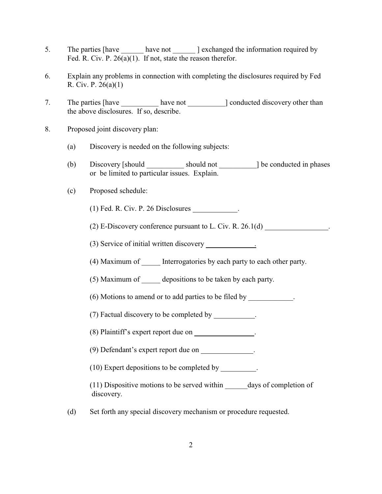- 5. The parties [have  $\qquad \qquad$  have not  $\qquad$  ] exchanged the information required by Fed. R. Civ. P. 26(a)(1). If not, state the reason therefor.
- 6. Explain any problems in connection with completing the disclosures required by Fed R. Civ. P. 26(a)(1)
- 7. The parties [have  $\frac{1}{2}$  have not  $\frac{1}{2}$  conducted discovery other than the above disclosures. If so, describe.
- 8. Proposed joint discovery plan:
	- (a) Discovery is needed on the following subjects:
	- (b) Discovery [should should not ] be conducted in phases or be limited to particular issues. Explain.
	- (c) Proposed schedule:
		- (1) Fed. R. Civ. P. 26 Disclosures .
		- (2) E-Discovery conference pursuant to L. Civ. R.  $26.1(d)$
		- (3) Service of initial written discovery .
		- (4) Maximum of **Interrogatories by each party to each other party.**
		- (5) Maximum of \_\_\_\_\_ depositions to be taken by each party.
		- (6) Motions to amend or to add parties to be filed by \_\_\_\_\_\_\_\_\_\_\_\_.
		- (7) Factual discovery to be completed by .
		- (8) Plaintiff's expert report due on .
		- (9) Defendant's expert report due on .
		- (10) Expert depositions to be completed by .
		- $(11)$  Dispositive motions to be served within days of completion of discovery.
	- (d) Set forth any special discovery mechanism or procedure requested.